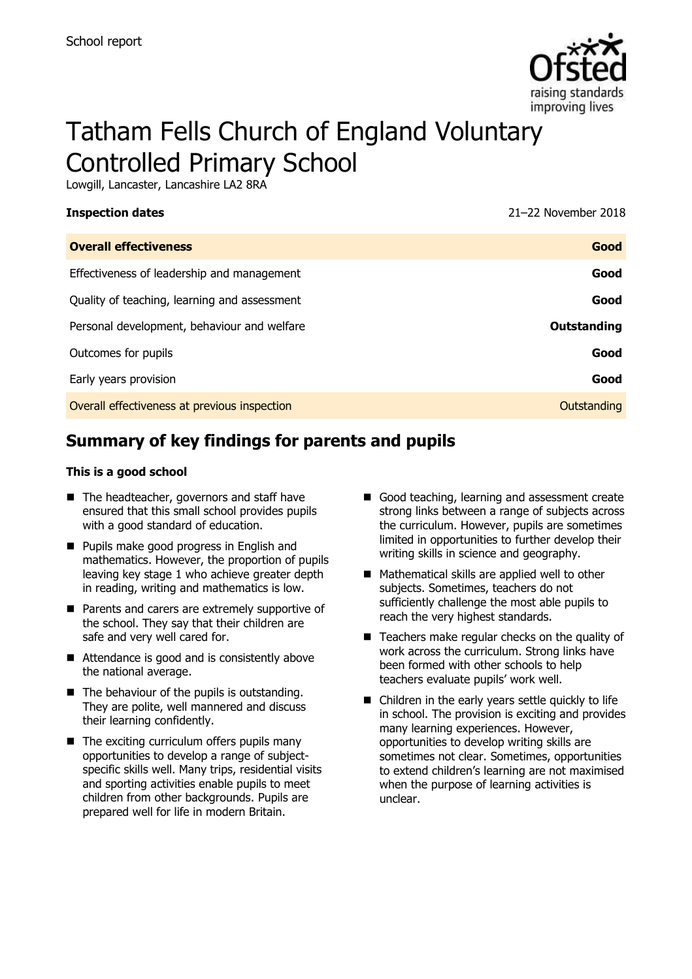

# Tatham Fells Church of England Voluntary Controlled Primary School

Lowgill, Lancaster, Lancashire LA2 8RA

**Inspection dates** 2018 **11 April 2018** 21–22 November 2018

| <b>Overall effectiveness</b>                 | Good               |
|----------------------------------------------|--------------------|
| Effectiveness of leadership and management   | Good               |
| Quality of teaching, learning and assessment | Good               |
| Personal development, behaviour and welfare  | <b>Outstanding</b> |
| Outcomes for pupils                          | Good               |
| Early years provision                        | Good               |
| Overall effectiveness at previous inspection | Outstanding        |
|                                              |                    |

# **Summary of key findings for parents and pupils**

#### **This is a good school**

- The headteacher, governors and staff have ensured that this small school provides pupils with a good standard of education.
- **Pupils make good progress in English and** mathematics. However, the proportion of pupils leaving key stage 1 who achieve greater depth in reading, writing and mathematics is low.
- Parents and carers are extremely supportive of the school. They say that their children are safe and very well cared for.
- Attendance is good and is consistently above the national average.
- $\blacksquare$  The behaviour of the pupils is outstanding. They are polite, well mannered and discuss their learning confidently.
- $\blacksquare$  The exciting curriculum offers pupils many opportunities to develop a range of subjectspecific skills well. Many trips, residential visits and sporting activities enable pupils to meet children from other backgrounds. Pupils are prepared well for life in modern Britain.
- Good teaching, learning and assessment create strong links between a range of subjects across the curriculum. However, pupils are sometimes limited in opportunities to further develop their writing skills in science and geography.
- Mathematical skills are applied well to other subjects. Sometimes, teachers do not sufficiently challenge the most able pupils to reach the very highest standards.
- Teachers make regular checks on the quality of work across the curriculum. Strong links have been formed with other schools to help teachers evaluate pupils' work well.
- Children in the early years settle quickly to life in school. The provision is exciting and provides many learning experiences. However, opportunities to develop writing skills are sometimes not clear. Sometimes, opportunities to extend children's learning are not maximised when the purpose of learning activities is unclear.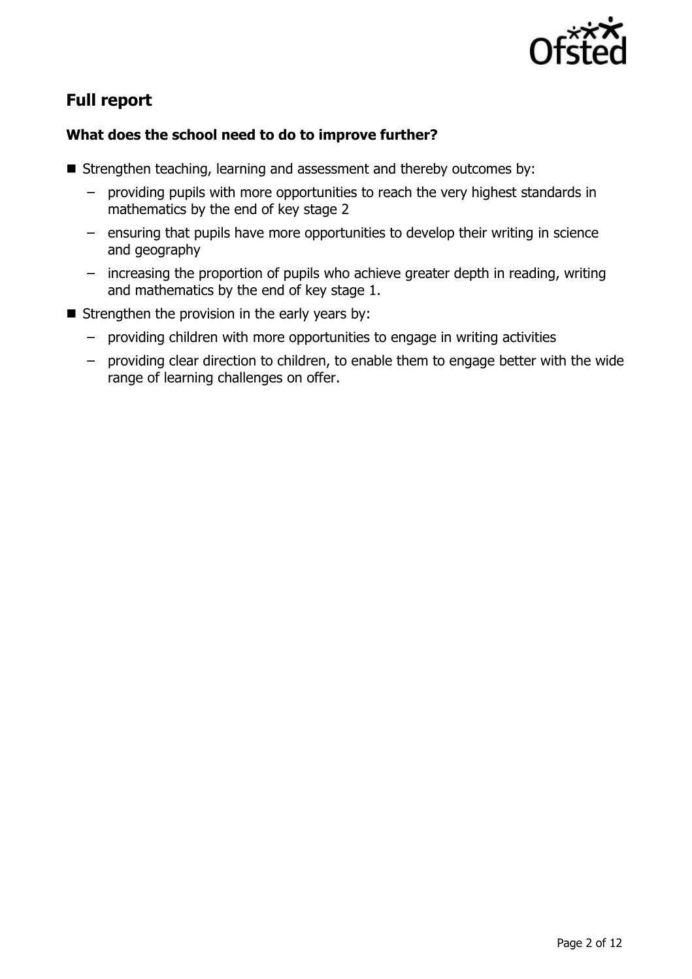

# **Full report**

### **What does the school need to do to improve further?**

- $\blacksquare$  Strengthen teaching, learning and assessment and thereby outcomes by:
	- providing pupils with more opportunities to reach the very highest standards in mathematics by the end of key stage 2
	- ensuring that pupils have more opportunities to develop their writing in science and geography
	- increasing the proportion of pupils who achieve greater depth in reading, writing and mathematics by the end of key stage 1.
- Strengthen the provision in the early years by:
	- providing children with more opportunities to engage in writing activities
	- providing clear direction to children, to enable them to engage better with the wide range of learning challenges on offer.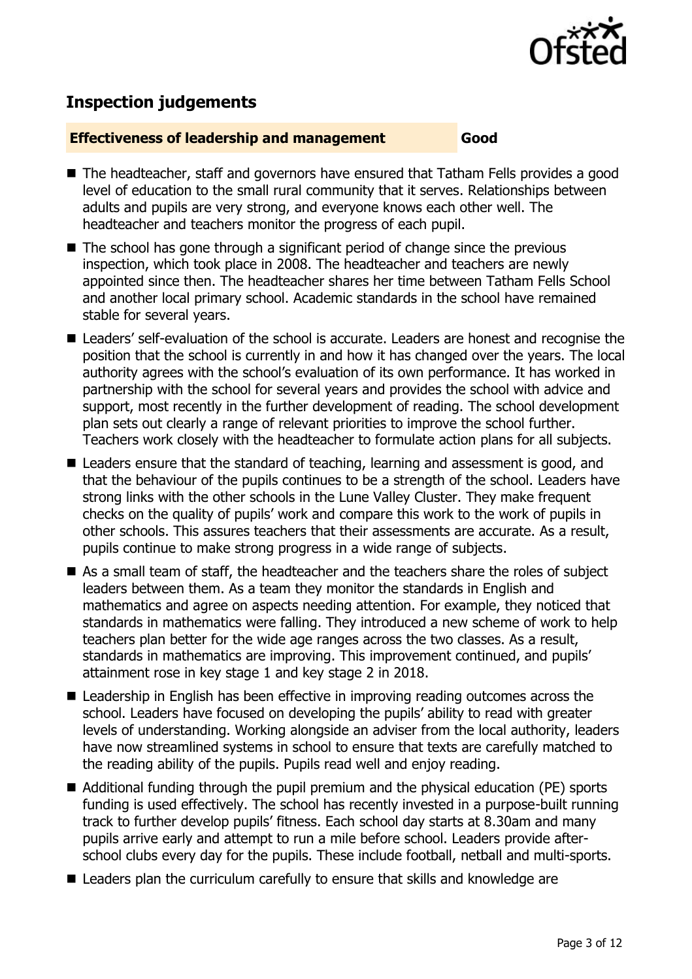

# **Inspection judgements**

#### **Effectiveness of leadership and management Good**

- The headteacher, staff and governors have ensured that Tatham Fells provides a good level of education to the small rural community that it serves. Relationships between adults and pupils are very strong, and everyone knows each other well. The headteacher and teachers monitor the progress of each pupil.
- The school has gone through a significant period of change since the previous inspection, which took place in 2008. The headteacher and teachers are newly appointed since then. The headteacher shares her time between Tatham Fells School and another local primary school. Academic standards in the school have remained stable for several years.
- Leaders' self-evaluation of the school is accurate. Leaders are honest and recognise the position that the school is currently in and how it has changed over the years. The local authority agrees with the school's evaluation of its own performance. It has worked in partnership with the school for several years and provides the school with advice and support, most recently in the further development of reading. The school development plan sets out clearly a range of relevant priorities to improve the school further. Teachers work closely with the headteacher to formulate action plans for all subjects.
- Leaders ensure that the standard of teaching, learning and assessment is good, and that the behaviour of the pupils continues to be a strength of the school. Leaders have strong links with the other schools in the Lune Valley Cluster. They make frequent checks on the quality of pupils' work and compare this work to the work of pupils in other schools. This assures teachers that their assessments are accurate. As a result, pupils continue to make strong progress in a wide range of subjects.
- As a small team of staff, the headteacher and the teachers share the roles of subject leaders between them. As a team they monitor the standards in English and mathematics and agree on aspects needing attention. For example, they noticed that standards in mathematics were falling. They introduced a new scheme of work to help teachers plan better for the wide age ranges across the two classes. As a result, standards in mathematics are improving. This improvement continued, and pupils' attainment rose in key stage 1 and key stage 2 in 2018.
- Leadership in English has been effective in improving reading outcomes across the school. Leaders have focused on developing the pupils' ability to read with greater levels of understanding. Working alongside an adviser from the local authority, leaders have now streamlined systems in school to ensure that texts are carefully matched to the reading ability of the pupils. Pupils read well and enjoy reading.
- Additional funding through the pupil premium and the physical education (PE) sports funding is used effectively. The school has recently invested in a purpose-built running track to further develop pupils' fitness. Each school day starts at 8.30am and many pupils arrive early and attempt to run a mile before school. Leaders provide afterschool clubs every day for the pupils. These include football, netball and multi-sports.
- Leaders plan the curriculum carefully to ensure that skills and knowledge are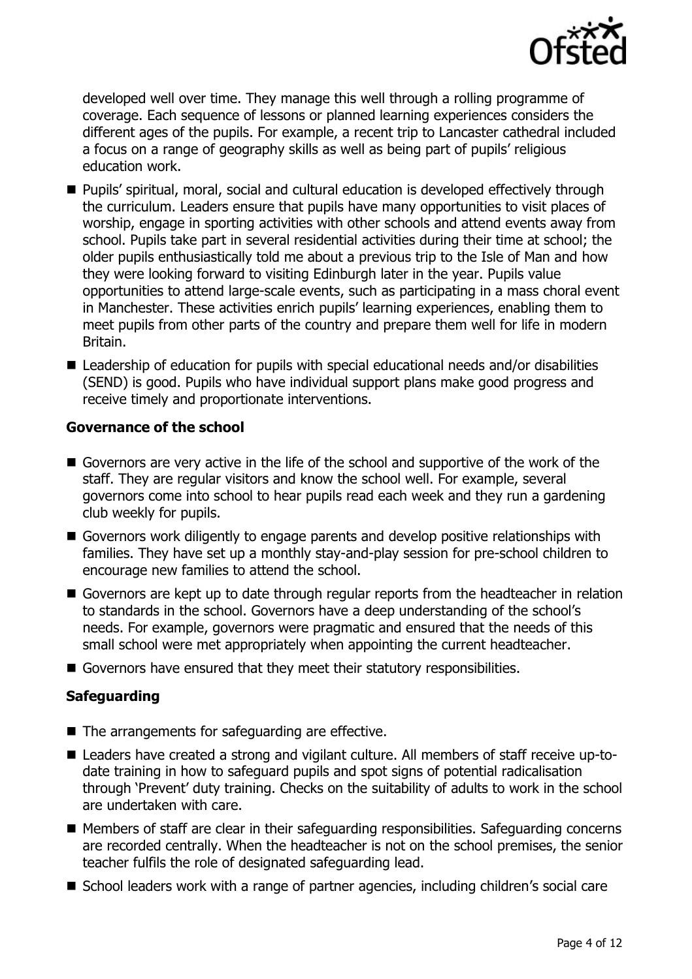

developed well over time. They manage this well through a rolling programme of coverage. Each sequence of lessons or planned learning experiences considers the different ages of the pupils. For example, a recent trip to Lancaster cathedral included a focus on a range of geography skills as well as being part of pupils' religious education work.

- Pupils' spiritual, moral, social and cultural education is developed effectively through the curriculum. Leaders ensure that pupils have many opportunities to visit places of worship, engage in sporting activities with other schools and attend events away from school. Pupils take part in several residential activities during their time at school; the older pupils enthusiastically told me about a previous trip to the Isle of Man and how they were looking forward to visiting Edinburgh later in the year. Pupils value opportunities to attend large-scale events, such as participating in a mass choral event in Manchester. These activities enrich pupils' learning experiences, enabling them to meet pupils from other parts of the country and prepare them well for life in modern Britain.
- Leadership of education for pupils with special educational needs and/or disabilities (SEND) is good. Pupils who have individual support plans make good progress and receive timely and proportionate interventions.

#### **Governance of the school**

- Governors are very active in the life of the school and supportive of the work of the staff. They are regular visitors and know the school well. For example, several governors come into school to hear pupils read each week and they run a gardening club weekly for pupils.
- Governors work diligently to engage parents and develop positive relationships with families. They have set up a monthly stay-and-play session for pre-school children to encourage new families to attend the school.
- Governors are kept up to date through regular reports from the headteacher in relation to standards in the school. Governors have a deep understanding of the school's needs. For example, governors were pragmatic and ensured that the needs of this small school were met appropriately when appointing the current headteacher.
- Governors have ensured that they meet their statutory responsibilities.

### **Safeguarding**

- $\blacksquare$  The arrangements for safeguarding are effective.
- Leaders have created a strong and vigilant culture. All members of staff receive up-todate training in how to safeguard pupils and spot signs of potential radicalisation through 'Prevent' duty training. Checks on the suitability of adults to work in the school are undertaken with care.
- Members of staff are clear in their safeguarding responsibilities. Safeguarding concerns are recorded centrally. When the headteacher is not on the school premises, the senior teacher fulfils the role of designated safeguarding lead.
- School leaders work with a range of partner agencies, including children's social care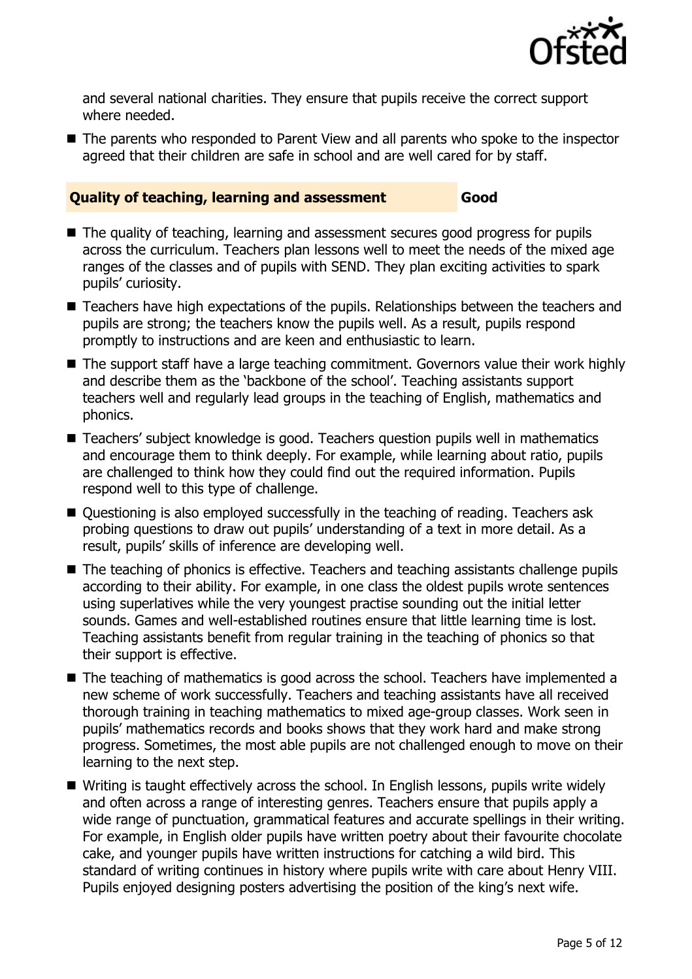

and several national charities. They ensure that pupils receive the correct support where needed.

■ The parents who responded to Parent View and all parents who spoke to the inspector agreed that their children are safe in school and are well cared for by staff.

#### **Quality of teaching, learning and assessment Good**

- The quality of teaching, learning and assessment secures good progress for pupils across the curriculum. Teachers plan lessons well to meet the needs of the mixed age ranges of the classes and of pupils with SEND. They plan exciting activities to spark pupils' curiosity.
- Teachers have high expectations of the pupils. Relationships between the teachers and pupils are strong; the teachers know the pupils well. As a result, pupils respond promptly to instructions and are keen and enthusiastic to learn.
- The support staff have a large teaching commitment. Governors value their work highly and describe them as the 'backbone of the school'. Teaching assistants support teachers well and regularly lead groups in the teaching of English, mathematics and phonics.
- Teachers' subject knowledge is good. Teachers question pupils well in mathematics and encourage them to think deeply. For example, while learning about ratio, pupils are challenged to think how they could find out the required information. Pupils respond well to this type of challenge.
- Questioning is also employed successfully in the teaching of reading. Teachers ask probing questions to draw out pupils' understanding of a text in more detail. As a result, pupils' skills of inference are developing well.
- The teaching of phonics is effective. Teachers and teaching assistants challenge pupils according to their ability. For example, in one class the oldest pupils wrote sentences using superlatives while the very youngest practise sounding out the initial letter sounds. Games and well-established routines ensure that little learning time is lost. Teaching assistants benefit from regular training in the teaching of phonics so that their support is effective.
- The teaching of mathematics is good across the school. Teachers have implemented a new scheme of work successfully. Teachers and teaching assistants have all received thorough training in teaching mathematics to mixed age-group classes. Work seen in pupils' mathematics records and books shows that they work hard and make strong progress. Sometimes, the most able pupils are not challenged enough to move on their learning to the next step.
- Writing is taught effectively across the school. In English lessons, pupils write widely and often across a range of interesting genres. Teachers ensure that pupils apply a wide range of punctuation, grammatical features and accurate spellings in their writing. For example, in English older pupils have written poetry about their favourite chocolate cake, and younger pupils have written instructions for catching a wild bird. This standard of writing continues in history where pupils write with care about Henry VIII. Pupils enjoyed designing posters advertising the position of the king's next wife.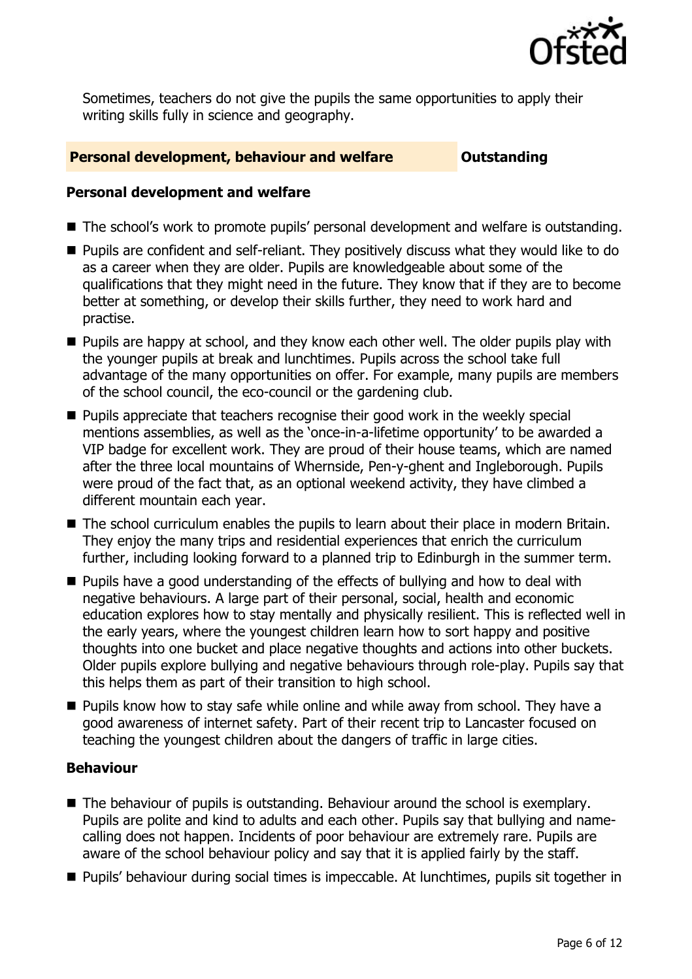

Sometimes, teachers do not give the pupils the same opportunities to apply their writing skills fully in science and geography.

#### **Personal development, behaviour and welfare <b>COUNG COULTS** Outstanding

#### **Personal development and welfare**

- The school's work to promote pupils' personal development and welfare is outstanding.
- **Pupils are confident and self-reliant. They positively discuss what they would like to do** as a career when they are older. Pupils are knowledgeable about some of the qualifications that they might need in the future. They know that if they are to become better at something, or develop their skills further, they need to work hard and practise.
- **Pupils are happy at school, and they know each other well. The older pupils play with** the younger pupils at break and lunchtimes. Pupils across the school take full advantage of the many opportunities on offer. For example, many pupils are members of the school council, the eco-council or the gardening club.
- **Pupils appreciate that teachers recognise their good work in the weekly special** mentions assemblies, as well as the 'once-in-a-lifetime opportunity' to be awarded a VIP badge for excellent work. They are proud of their house teams, which are named after the three local mountains of Whernside, Pen-y-ghent and Ingleborough. Pupils were proud of the fact that, as an optional weekend activity, they have climbed a different mountain each year.
- The school curriculum enables the pupils to learn about their place in modern Britain. They enjoy the many trips and residential experiences that enrich the curriculum further, including looking forward to a planned trip to Edinburgh in the summer term.
- **Pupils have a good understanding of the effects of bullying and how to deal with** negative behaviours. A large part of their personal, social, health and economic education explores how to stay mentally and physically resilient. This is reflected well in the early years, where the youngest children learn how to sort happy and positive thoughts into one bucket and place negative thoughts and actions into other buckets. Older pupils explore bullying and negative behaviours through role-play. Pupils say that this helps them as part of their transition to high school.
- **Pupils know how to stay safe while online and while away from school. They have a** good awareness of internet safety. Part of their recent trip to Lancaster focused on teaching the youngest children about the dangers of traffic in large cities.

### **Behaviour**

- The behaviour of pupils is outstanding. Behaviour around the school is exemplary. Pupils are polite and kind to adults and each other. Pupils say that bullying and namecalling does not happen. Incidents of poor behaviour are extremely rare. Pupils are aware of the school behaviour policy and say that it is applied fairly by the staff.
- **Pupils' behaviour during social times is impeccable. At lunchtimes, pupils sit together in**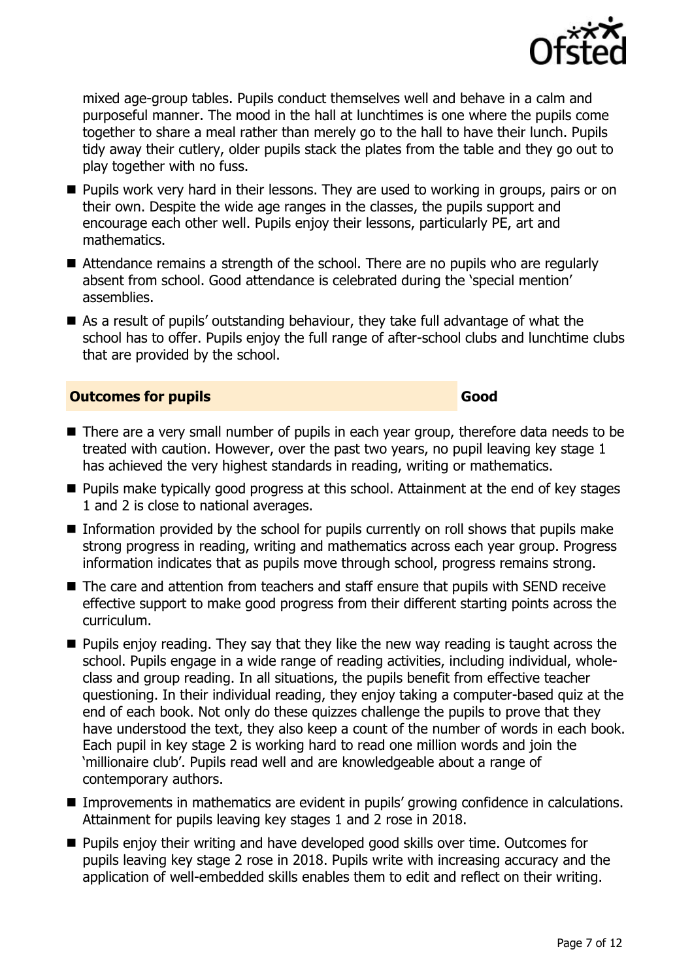

mixed age-group tables. Pupils conduct themselves well and behave in a calm and purposeful manner. The mood in the hall at lunchtimes is one where the pupils come together to share a meal rather than merely go to the hall to have their lunch. Pupils tidy away their cutlery, older pupils stack the plates from the table and they go out to play together with no fuss.

- **Pupils work very hard in their lessons. They are used to working in groups, pairs or on** their own. Despite the wide age ranges in the classes, the pupils support and encourage each other well. Pupils enjoy their lessons, particularly PE, art and mathematics.
- Attendance remains a strength of the school. There are no pupils who are regularly absent from school. Good attendance is celebrated during the 'special mention' assemblies.
- As a result of pupils' outstanding behaviour, they take full advantage of what the school has to offer. Pupils enjoy the full range of after-school clubs and lunchtime clubs that are provided by the school.

#### **Outcomes for pupils Good Good**

- There are a very small number of pupils in each year group, therefore data needs to be treated with caution. However, over the past two years, no pupil leaving key stage 1 has achieved the very highest standards in reading, writing or mathematics.
- **Pupils make typically good progress at this school. Attainment at the end of key stages** 1 and 2 is close to national averages.
- $\blacksquare$  Information provided by the school for pupils currently on roll shows that pupils make strong progress in reading, writing and mathematics across each year group. Progress information indicates that as pupils move through school, progress remains strong.
- The care and attention from teachers and staff ensure that pupils with SEND receive effective support to make good progress from their different starting points across the curriculum.
- **Pupils enjoy reading. They say that they like the new way reading is taught across the** school. Pupils engage in a wide range of reading activities, including individual, wholeclass and group reading. In all situations, the pupils benefit from effective teacher questioning. In their individual reading, they enjoy taking a computer-based quiz at the end of each book. Not only do these quizzes challenge the pupils to prove that they have understood the text, they also keep a count of the number of words in each book. Each pupil in key stage 2 is working hard to read one million words and join the 'millionaire club'. Pupils read well and are knowledgeable about a range of contemporary authors.
- **Improvements in mathematics are evident in pupils' growing confidence in calculations.** Attainment for pupils leaving key stages 1 and 2 rose in 2018.
- **Pupils enjoy their writing and have developed good skills over time. Outcomes for** pupils leaving key stage 2 rose in 2018. Pupils write with increasing accuracy and the application of well-embedded skills enables them to edit and reflect on their writing.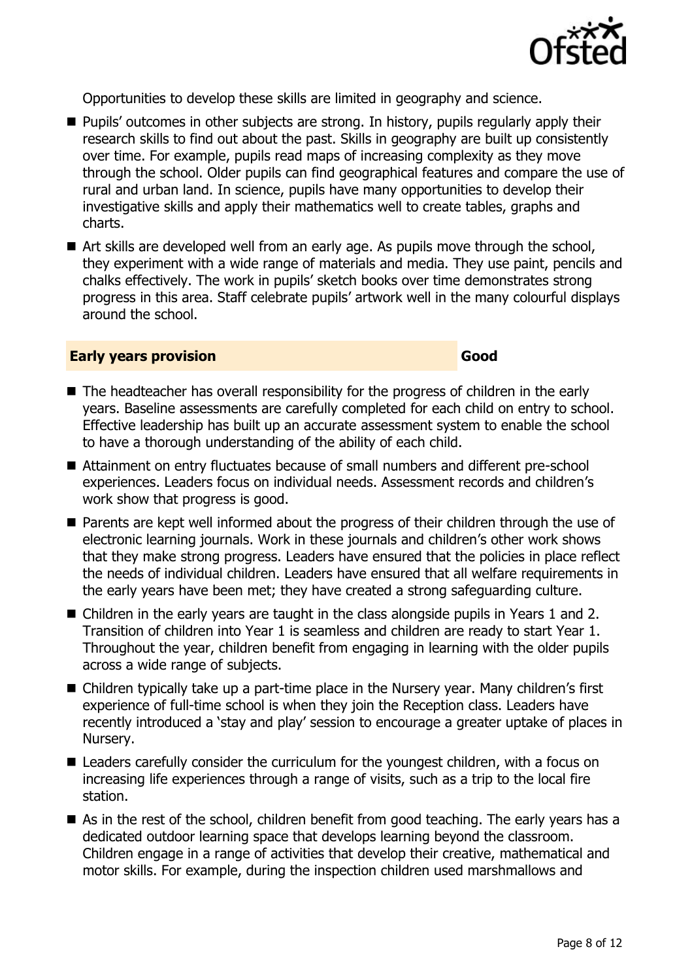

Opportunities to develop these skills are limited in geography and science.

- **Pupils'** outcomes in other subjects are strong. In history, pupils regularly apply their research skills to find out about the past. Skills in geography are built up consistently over time. For example, pupils read maps of increasing complexity as they move through the school. Older pupils can find geographical features and compare the use of rural and urban land. In science, pupils have many opportunities to develop their investigative skills and apply their mathematics well to create tables, graphs and charts.
- Art skills are developed well from an early age. As pupils move through the school, they experiment with a wide range of materials and media. They use paint, pencils and chalks effectively. The work in pupils' sketch books over time demonstrates strong progress in this area. Staff celebrate pupils' artwork well in the many colourful displays around the school.

#### **Early years provision Good Good**

#### ■ The headteacher has overall responsibility for the progress of children in the early years. Baseline assessments are carefully completed for each child on entry to school. Effective leadership has built up an accurate assessment system to enable the school to have a thorough understanding of the ability of each child.

- Attainment on entry fluctuates because of small numbers and different pre-school experiences. Leaders focus on individual needs. Assessment records and children's work show that progress is good.
- **Parents are kept well informed about the progress of their children through the use of** electronic learning journals. Work in these journals and children's other work shows that they make strong progress. Leaders have ensured that the policies in place reflect the needs of individual children. Leaders have ensured that all welfare requirements in the early years have been met; they have created a strong safeguarding culture.
- Children in the early vears are taught in the class alongside pupils in Years 1 and 2. Transition of children into Year 1 is seamless and children are ready to start Year 1. Throughout the year, children benefit from engaging in learning with the older pupils across a wide range of subjects.
- Children typically take up a part-time place in the Nursery year. Many children's first experience of full-time school is when they join the Reception class. Leaders have recently introduced a 'stay and play' session to encourage a greater uptake of places in Nursery.
- Leaders carefully consider the curriculum for the youngest children, with a focus on increasing life experiences through a range of visits, such as a trip to the local fire station.
- As in the rest of the school, children benefit from good teaching. The early years has a dedicated outdoor learning space that develops learning beyond the classroom. Children engage in a range of activities that develop their creative, mathematical and motor skills. For example, during the inspection children used marshmallows and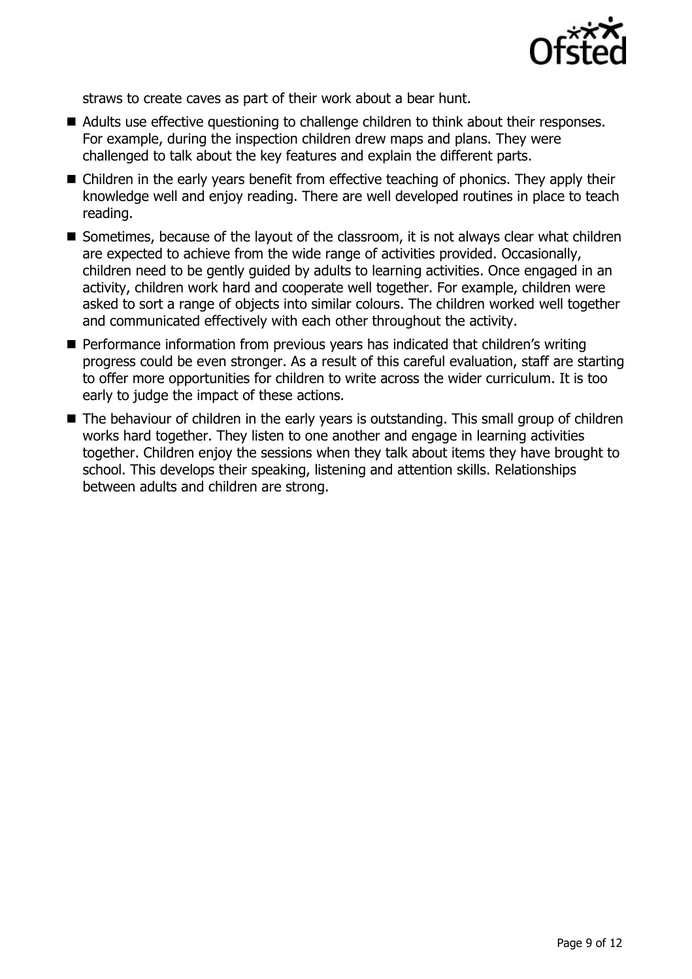

straws to create caves as part of their work about a bear hunt.

- Adults use effective questioning to challenge children to think about their responses. For example, during the inspection children drew maps and plans. They were challenged to talk about the key features and explain the different parts.
- Children in the early years benefit from effective teaching of phonics. They apply their knowledge well and enjoy reading. There are well developed routines in place to teach reading.
- Sometimes, because of the layout of the classroom, it is not always clear what children are expected to achieve from the wide range of activities provided. Occasionally, children need to be gently guided by adults to learning activities. Once engaged in an activity, children work hard and cooperate well together. For example, children were asked to sort a range of objects into similar colours. The children worked well together and communicated effectively with each other throughout the activity.
- **Performance information from previous years has indicated that children's writing** progress could be even stronger. As a result of this careful evaluation, staff are starting to offer more opportunities for children to write across the wider curriculum. It is too early to judge the impact of these actions.
- The behaviour of children in the early years is outstanding. This small group of children works hard together. They listen to one another and engage in learning activities together. Children enjoy the sessions when they talk about items they have brought to school. This develops their speaking, listening and attention skills. Relationships between adults and children are strong.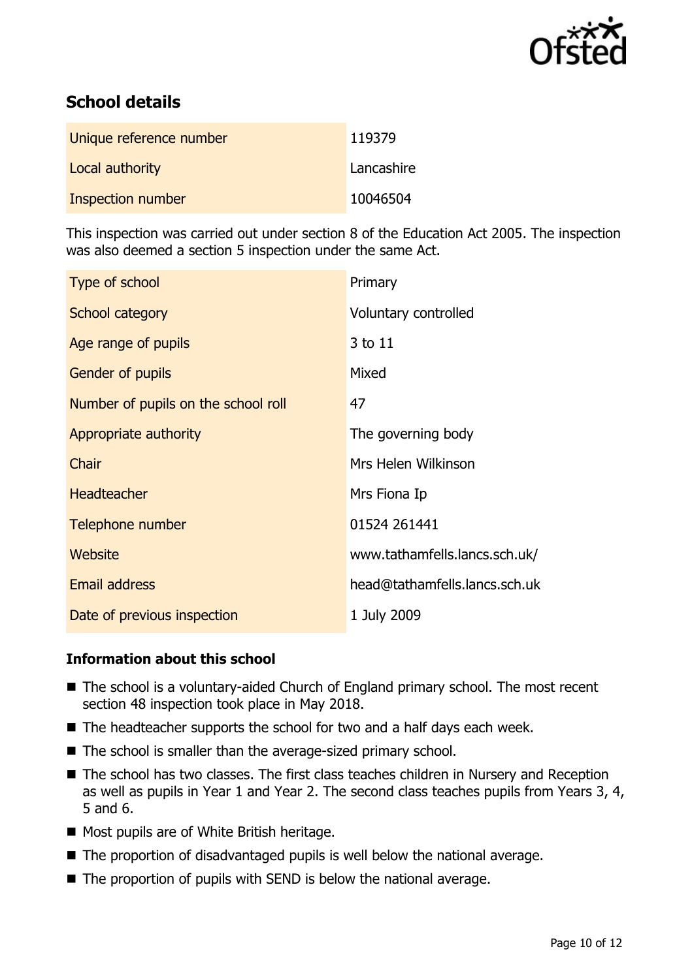

# **School details**

| Unique reference number | 119379     |
|-------------------------|------------|
| Local authority         | Lancashire |
| Inspection number       | 10046504   |

This inspection was carried out under section 8 of the Education Act 2005. The inspection was also deemed a section 5 inspection under the same Act.

| Type of school                      | Primary                       |
|-------------------------------------|-------------------------------|
| School category                     | Voluntary controlled          |
| Age range of pupils                 | 3 to 11                       |
| <b>Gender of pupils</b>             | Mixed                         |
| Number of pupils on the school roll | 47                            |
| Appropriate authority               | The governing body            |
| Chair                               | Mrs Helen Wilkinson           |
| <b>Headteacher</b>                  | Mrs Fiona Ip                  |
| Telephone number                    | 01524 261441                  |
| Website                             | www.tathamfells.lancs.sch.uk/ |
| <b>Email address</b>                | head@tathamfells.lancs.sch.uk |
| Date of previous inspection         | 1 July 2009                   |

#### **Information about this school**

- The school is a voluntary-aided Church of England primary school. The most recent section 48 inspection took place in May 2018.
- The headteacher supports the school for two and a half days each week.
- The school is smaller than the average-sized primary school.
- The school has two classes. The first class teaches children in Nursery and Reception as well as pupils in Year 1 and Year 2. The second class teaches pupils from Years 3, 4, 5 and 6.
- **Most pupils are of White British heritage.**
- The proportion of disadvantaged pupils is well below the national average.
- The proportion of pupils with SEND is below the national average.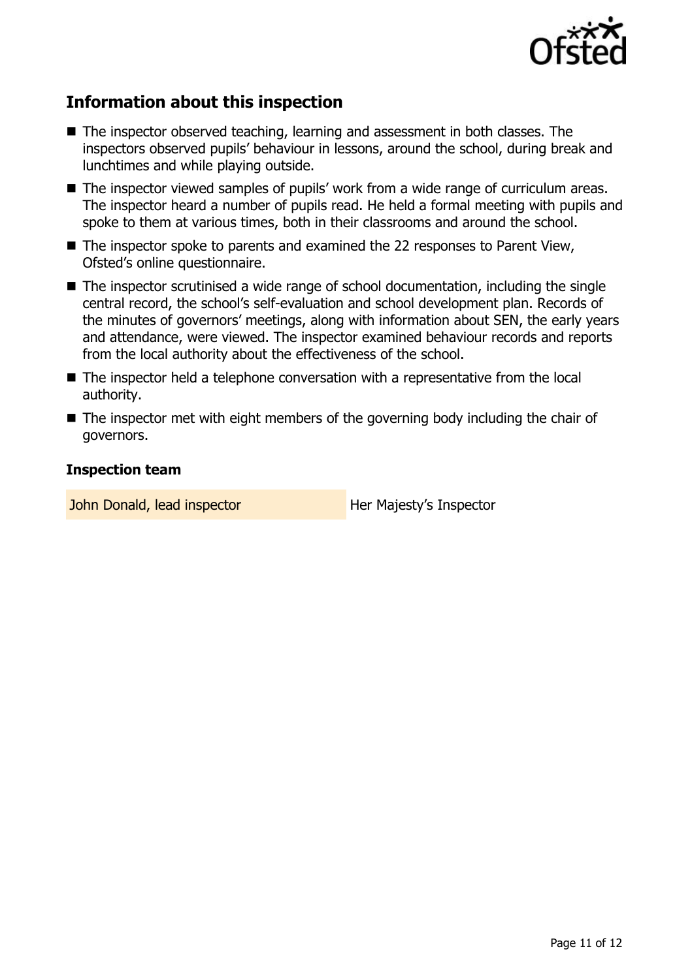

# **Information about this inspection**

- The inspector observed teaching, learning and assessment in both classes. The inspectors observed pupils' behaviour in lessons, around the school, during break and lunchtimes and while playing outside.
- The inspector viewed samples of pupils' work from a wide range of curriculum areas. The inspector heard a number of pupils read. He held a formal meeting with pupils and spoke to them at various times, both in their classrooms and around the school.
- The inspector spoke to parents and examined the 22 responses to Parent View, Ofsted's online questionnaire.
- The inspector scrutinised a wide range of school documentation, including the single central record, the school's self-evaluation and school development plan. Records of the minutes of governors' meetings, along with information about SEN, the early years and attendance, were viewed. The inspector examined behaviour records and reports from the local authority about the effectiveness of the school.
- The inspector held a telephone conversation with a representative from the local authority.
- $\blacksquare$  The inspector met with eight members of the governing body including the chair of governors.

#### **Inspection team**

John Donald, lead inspector **Her Majesty's Inspector**